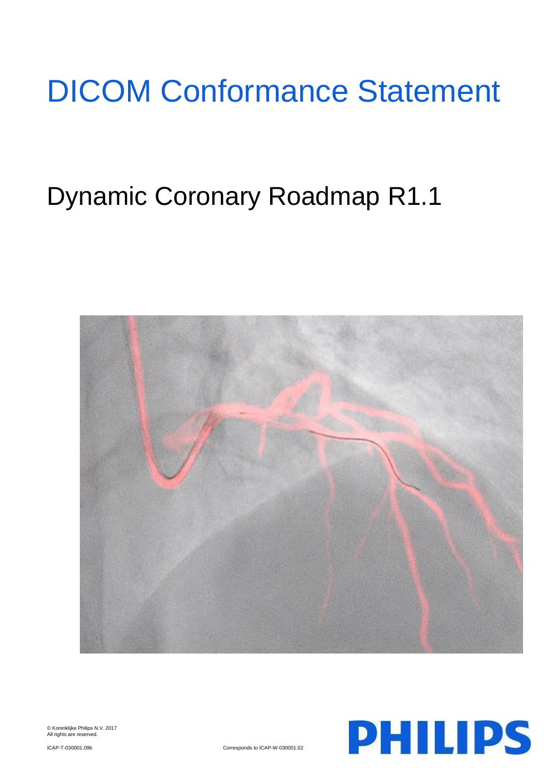# DICOM Conformance Statement

# Dynamic Coronary Roadmap R1.1



© Koninklijke Philips N.V. 2017 All rights are reserved.

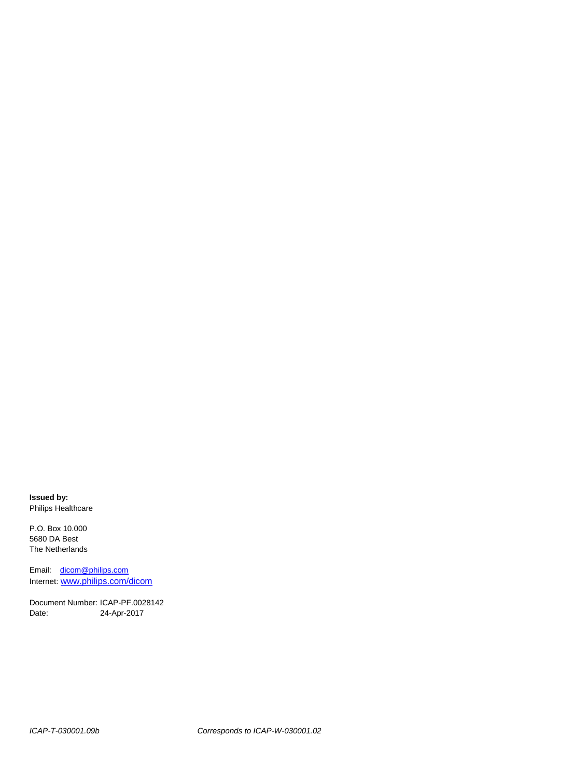**Issued by:** Philips Healthcare

P.O. Box 10.000 5680 DA Best The Netherlands

Email: [dicom@philips.com](mailto:dicom@philips.com) Internet: www.philips.com/dicom

Document Number: ICAP-PF.0028142 Date: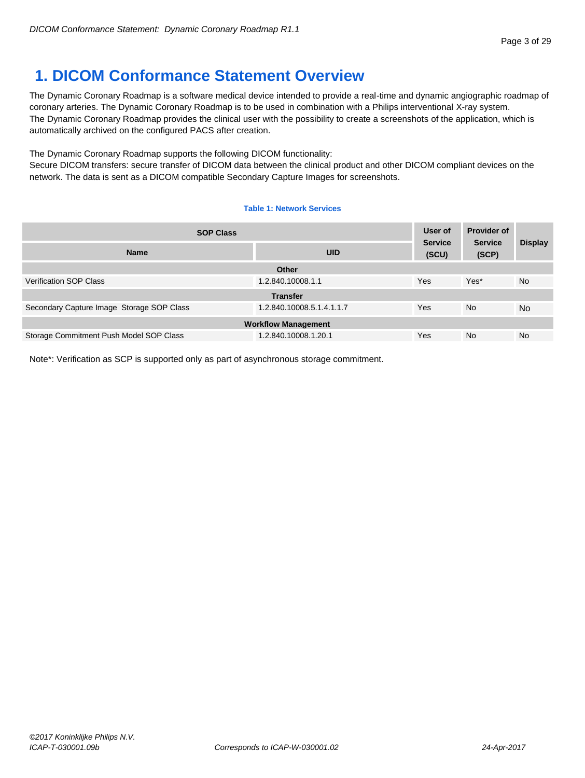# <span id="page-2-0"></span>**1. DICOM Conformance Statement Overview**

The Dynamic Coronary Roadmap is a software medical device intended to provide a real-time and dynamic angiographic roadmap of coronary arteries. The Dynamic Coronary Roadmap is to be used in combination with a Philips interventional X-ray system. The Dynamic Coronary Roadmap provides the clinical user with the possibility to create a screenshots of the application, which is automatically archived on the configured PACS after creation.

The Dynamic Coronary Roadmap supports the following DICOM functionality:

Secure DICOM transfers: secure transfer of DICOM data between the clinical product and other DICOM compliant devices on the network. The data is sent as a DICOM compatible Secondary Capture Images for screenshots.

#### **Table 1: Network Services**

| <b>SOP Class</b>                          |                                       | User of | <b>Provider of</b>      |                |  |
|-------------------------------------------|---------------------------------------|---------|-------------------------|----------------|--|
| <b>Name</b>                               | <b>Service</b><br><b>UID</b><br>(SCU) |         | <b>Service</b><br>(SCP) | <b>Display</b> |  |
|                                           | <b>Other</b>                          |         |                         |                |  |
| <b>Verification SOP Class</b>             | 1.2.840.10008.1.1                     | Yes     | Yes*                    | <b>No</b>      |  |
|                                           | <b>Transfer</b>                       |         |                         |                |  |
| Secondary Capture Image Storage SOP Class | 1.2.840.10008.5.1.4.1.1.7             | Yes     | <b>No</b>               | <b>No</b>      |  |
| <b>Workflow Management</b>                |                                       |         |                         |                |  |
| Storage Commitment Push Model SOP Class   | 1.2.840.10008.1.20.1                  | Yes     | <b>No</b>               | <b>No</b>      |  |

Note\*: Verification as SCP is supported only as part of asynchronous storage commitment.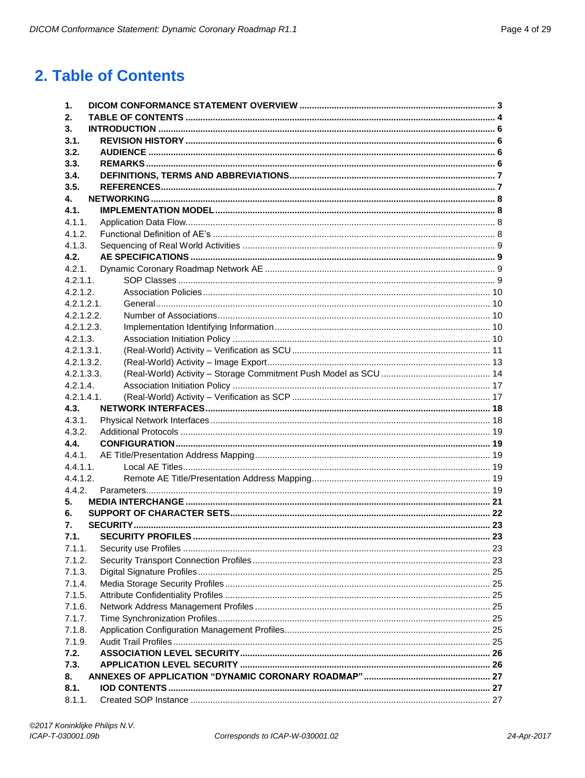# <span id="page-3-0"></span>2. Table of Contents

| 2.                 |  |
|--------------------|--|
| 3.                 |  |
| 3.1.               |  |
| 3.2.               |  |
| 3.3.               |  |
| 3.4.               |  |
| 3.5.               |  |
| 4.                 |  |
| 4.1.               |  |
| 4.1.1.             |  |
| 4.1.2.             |  |
| 4.1.3.             |  |
| 4.2.               |  |
| 4.2.1.             |  |
| $4.2.1.1$ .        |  |
| 4.2.1.2.           |  |
| 4.2.1.2.1.         |  |
| 4.2.1.2.2.         |  |
| 4.2.1.2.3.         |  |
| 4.2.1.3.           |  |
| 4.2.1.3.1.         |  |
| 4.2.1.3.2.         |  |
| 4.2.1.3.3.         |  |
| 4.2.1.4.           |  |
| 4.2.1.4.1.<br>4.3. |  |
|                    |  |
|                    |  |
| 4.3.1.             |  |
| 4.3.2.             |  |
| 4.4.               |  |
| 4.4.1.             |  |
| 4.4.1.1.           |  |
| 4.4.1.2.           |  |
| 4.4.2.<br>5.       |  |
| 6.                 |  |
| 7.                 |  |
| 7.1.               |  |
| 7.1.1.             |  |
| 7.1.2.             |  |
| 7.1.3.             |  |
| 7.1.4.             |  |
| 7.1.5.             |  |
| 7.1.6.             |  |
| 7.1.7.             |  |
| 7.1.8.             |  |
| 7.1.9.             |  |
| 7.2.               |  |
| 7.3.               |  |
| 8.                 |  |
| 8.1.<br>8.1.1.     |  |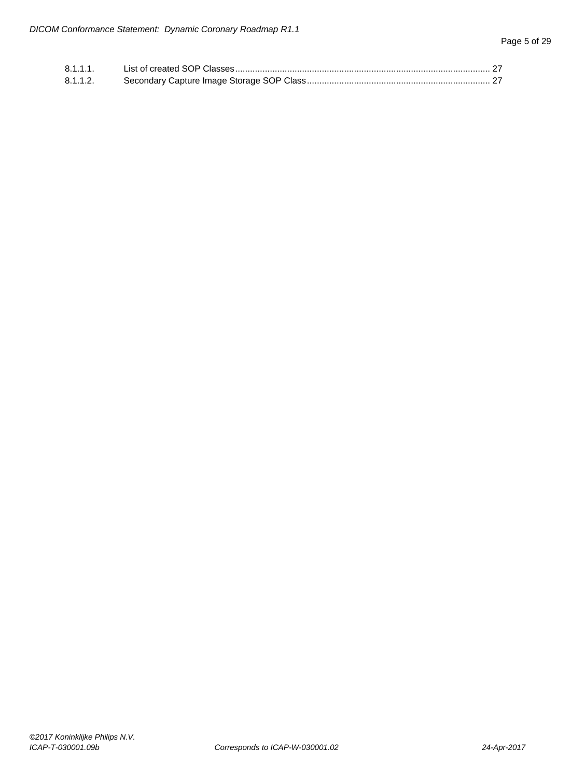| 8.1.1.1. |  |
|----------|--|
| 8.1.1.2. |  |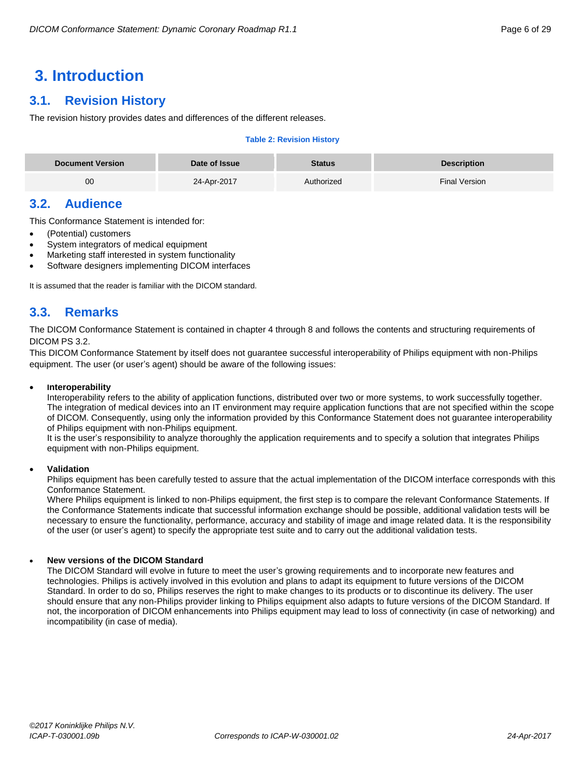# <span id="page-5-0"></span>**3. Introduction**

# <span id="page-5-1"></span>**3.1. Revision History**

The revision history provides dates and differences of the different releases.

#### **Table 2: Revision History**

| <b>Document Version</b> | Date of Issue | <b>Status</b> | <b>Description</b> |
|-------------------------|---------------|---------------|--------------------|
| 00                      | 24-Apr-2017   | Authorized    | Final Version      |

# <span id="page-5-2"></span>**3.2. Audience**

This Conformance Statement is intended for:

- (Potential) customers
- System integrators of medical equipment
- Marketing staff interested in system functionality
- Software designers implementing DICOM interfaces

It is assumed that the reader is familiar with the DICOM standard.

# <span id="page-5-3"></span>**3.3. Remarks**

The DICOM Conformance Statement is contained in chapter 4 through 8 and follows the contents and structuring requirements of DICOM PS 3.2.

This DICOM Conformance Statement by itself does not guarantee successful interoperability of Philips equipment with non-Philips equipment. The user (or user's agent) should be aware of the following issues:

#### **Interoperability**

Interoperability refers to the ability of application functions, distributed over two or more systems, to work successfully together. The integration of medical devices into an IT environment may require application functions that are not specified within the scope of DICOM. Consequently, using only the information provided by this Conformance Statement does not guarantee interoperability of Philips equipment with non-Philips equipment.

It is the user's responsibility to analyze thoroughly the application requirements and to specify a solution that integrates Philips equipment with non-Philips equipment.

#### **Validation**

Philips equipment has been carefully tested to assure that the actual implementation of the DICOM interface corresponds with this Conformance Statement.

Where Philips equipment is linked to non-Philips equipment, the first step is to compare the relevant Conformance Statements. If the Conformance Statements indicate that successful information exchange should be possible, additional validation tests will be necessary to ensure the functionality, performance, accuracy and stability of image and image related data. It is the responsibility of the user (or user's agent) to specify the appropriate test suite and to carry out the additional validation tests.

#### **New versions of the DICOM Standard**

The DICOM Standard will evolve in future to meet the user's growing requirements and to incorporate new features and technologies. Philips is actively involved in this evolution and plans to adapt its equipment to future versions of the DICOM Standard. In order to do so, Philips reserves the right to make changes to its products or to discontinue its delivery. The user should ensure that any non-Philips provider linking to Philips equipment also adapts to future versions of the DICOM Standard. If not, the incorporation of DICOM enhancements into Philips equipment may lead to loss of connectivity (in case of networking) and incompatibility (in case of media).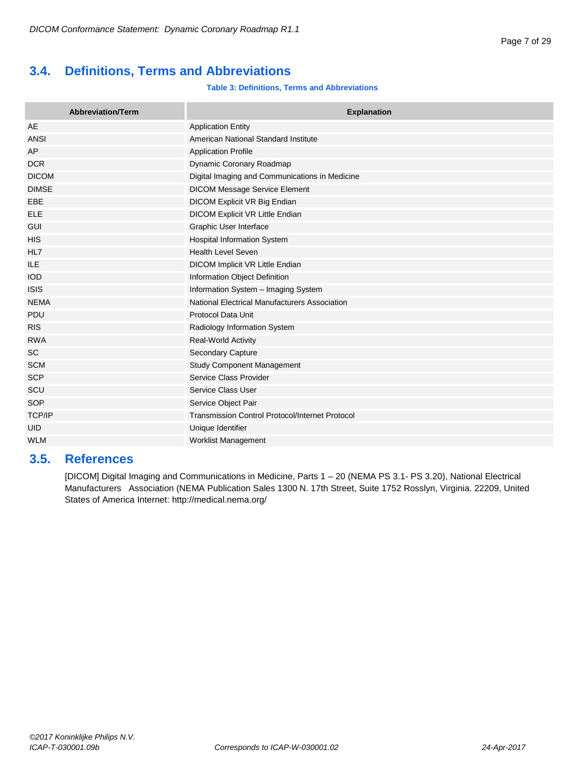# <span id="page-6-0"></span>**3.4. Definitions, Terms and Abbreviations**

#### **Table 3: Definitions, Terms and Abbreviations**

| <b>Abbreviation/Term</b> | <b>Explanation</b>                                     |
|--------------------------|--------------------------------------------------------|
| <b>AE</b>                | <b>Application Entity</b>                              |
| <b>ANSI</b>              | American National Standard Institute                   |
| AP                       | <b>Application Profile</b>                             |
| <b>DCR</b>               | Dynamic Coronary Roadmap                               |
| <b>DICOM</b>             | Digital Imaging and Communications in Medicine         |
| <b>DIMSE</b>             | <b>DICOM Message Service Element</b>                   |
| EBE                      | DICOM Explicit VR Big Endian                           |
| <b>ELE</b>               | DICOM Explicit VR Little Endian                        |
| <b>GUI</b>               | Graphic User Interface                                 |
| <b>HIS</b>               | <b>Hospital Information System</b>                     |
| HL7                      | <b>Health Level Seven</b>                              |
| ILE                      | DICOM Implicit VR Little Endian                        |
| <b>IOD</b>               | Information Object Definition                          |
| <b>ISIS</b>              | Information System - Imaging System                    |
| <b>NEMA</b>              | National Electrical Manufacturers Association          |
| PDU                      | Protocol Data Unit                                     |
| <b>RIS</b>               | Radiology Information System                           |
| <b>RWA</b>               | Real-World Activity                                    |
| <b>SC</b>                | <b>Secondary Capture</b>                               |
| <b>SCM</b>               | <b>Study Component Management</b>                      |
| <b>SCP</b>               | Service Class Provider                                 |
| SCU                      | Service Class User                                     |
| SOP                      | Service Object Pair                                    |
| <b>TCP/IP</b>            | <b>Transmission Control Protocol/Internet Protocol</b> |
| <b>UID</b>               | Unique Identifier                                      |
| <b>WLM</b>               | <b>Worklist Management</b>                             |

# <span id="page-6-1"></span>**3.5. References**

[DICOM] Digital Imaging and Communications in Medicine, Parts 1 – 20 (NEMA PS 3.1- PS 3.20), National Electrical Manufacturers Association (NEMA Publication Sales 1300 N. 17th Street, Suite 1752 Rosslyn, Virginia. 22209, United States of America Internet:<http://medical.nema.org/>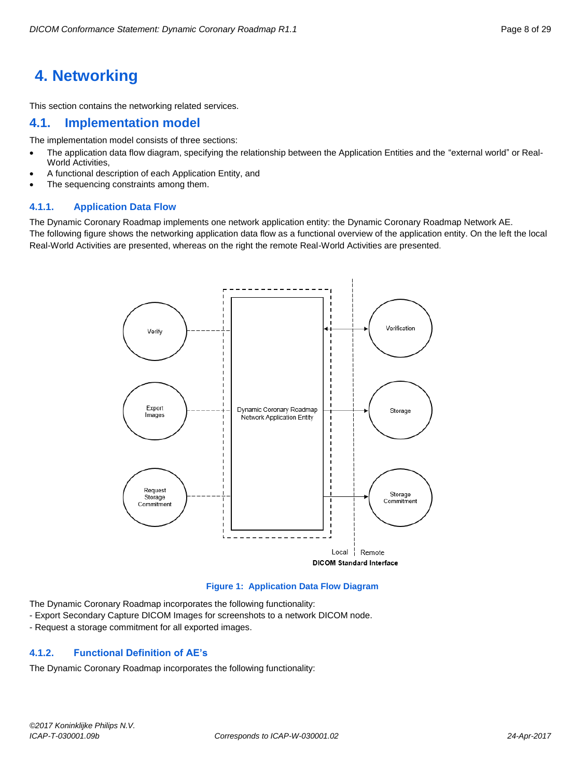# <span id="page-7-0"></span>**4. Networking**

This section contains the networking related services.

# <span id="page-7-1"></span>**4.1. Implementation model**

The implementation model consists of three sections:

- The application data flow diagram, specifying the relationship between the Application Entities and the "external world" or Real-World Activities,
- A functional description of each Application Entity, and
- The sequencing constraints among them.

#### <span id="page-7-2"></span>**4.1.1. Application Data Flow**

The Dynamic Coronary Roadmap implements one network application entity: the Dynamic Coronary Roadmap Network AE. The following figure shows the networking application data flow as a functional overview of the application entity. On the left the local Real-World Activities are presented, whereas on the right the remote Real-World Activities are presented.



#### **Figure 1: Application Data Flow Diagram**

The Dynamic Coronary Roadmap incorporates the following functionality:

- Export Secondary Capture DICOM Images for screenshots to a network DICOM node.
- Request a storage commitment for all exported images.

#### <span id="page-7-3"></span>**4.1.2. Functional Definition of AE's**

The Dynamic Coronary Roadmap incorporates the following functionality: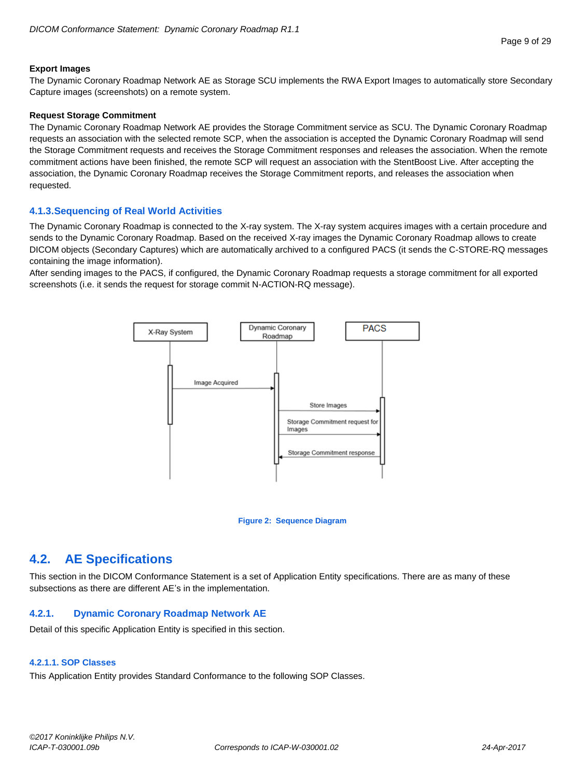#### **Export Images**

The Dynamic Coronary Roadmap Network AE as Storage SCU implements the RWA Export Images to automatically store Secondary Capture images (screenshots) on a remote system.

#### **Request Storage Commitment**

The Dynamic Coronary Roadmap Network AE provides the Storage Commitment service as SCU. The Dynamic Coronary Roadmap requests an association with the selected remote SCP, when the association is accepted the Dynamic Coronary Roadmap will send the Storage Commitment requests and receives the Storage Commitment responses and releases the association. When the remote commitment actions have been finished, the remote SCP will request an association with the StentBoost Live. After accepting the association, the Dynamic Coronary Roadmap receives the Storage Commitment reports, and releases the association when requested.

#### <span id="page-8-0"></span>**4.1.3.Sequencing of Real World Activities**

The Dynamic Coronary Roadmap is connected to the X-ray system. The X-ray system acquires images with a certain procedure and sends to the Dynamic Coronary Roadmap. Based on the received X-ray images the Dynamic Coronary Roadmap allows to create DICOM objects (Secondary Captures) which are automatically archived to a configured PACS (it sends the C-STORE-RQ messages containing the image information).

After sending images to the PACS, if configured, the Dynamic Coronary Roadmap requests a storage commitment for all exported screenshots (i.e. it sends the request for storage commit N-ACTION-RQ message).



#### **Figure 2: Sequence Diagram**

# <span id="page-8-1"></span>**4.2. AE Specifications**

This section in the DICOM Conformance Statement is a set of Application Entity specifications. There are as many of these subsections as there are different AE's in the implementation.

#### <span id="page-8-2"></span>**4.2.1. Dynamic Coronary Roadmap Network AE**

Detail of this specific Application Entity is specified in this section.

#### <span id="page-8-3"></span>**4.2.1.1. SOP Classes**

This Application Entity provides Standard Conformance to the following SOP Classes.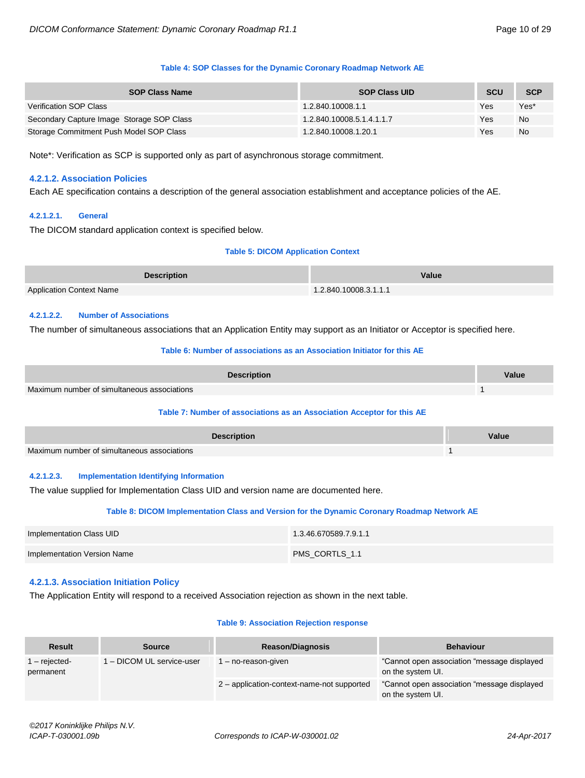#### **Table 4: SOP Classes for the Dynamic Coronary Roadmap Network AE**

| <b>SOP Class Name</b>                     | <b>SOP Class UID</b>      | <b>SCU</b> | <b>SCP</b> |
|-------------------------------------------|---------------------------|------------|------------|
| Verification SOP Class                    | 1.2.840.10008.1.1         | Yes        | Yes*       |
| Secondary Capture Image Storage SOP Class | 1.2.840.10008.5.1.4.1.1.7 | Yes        | <b>No</b>  |
| Storage Commitment Push Model SOP Class   | 1.2.840.10008.1.20.1      | Yes        | <b>No</b>  |

<span id="page-9-0"></span>Note\*: Verification as SCP is supported only as part of asynchronous storage commitment.

#### **4.2.1.2. Association Policies**

Each AE specification contains a description of the general association establishment and acceptance policies of the AE.

#### <span id="page-9-1"></span>**4.2.1.2.1. General**

The DICOM standard application context is specified below.

#### **Table 5: DICOM Application Context**

| <b>Description</b>              | <b>Value</b>          |
|---------------------------------|-----------------------|
| <b>Application Context Name</b> | 1.2.840.10008.3.1.1.1 |

#### <span id="page-9-2"></span>**4.2.1.2.2. Number of Associations**

The number of simultaneous associations that an Application Entity may support as an Initiator or Acceptor is specified here.

#### **Table 6: Number of associations as an Association Initiator for this AE**

| <b>Description</b>                          | Value |
|---------------------------------------------|-------|
| Maximum number of simultaneous associations |       |

#### **Table 7: Number of associations as an Association Acceptor for this AE**

| <b>Description</b>                          | Value |
|---------------------------------------------|-------|
| Maximum number of simultaneous associations |       |

#### <span id="page-9-3"></span>**4.2.1.2.3. Implementation Identifying Information**

The value supplied for Implementation Class UID and version name are documented here.

#### **Table 8: DICOM Implementation Class and Version for the Dynamic Coronary Roadmap Network AE**

| Implementation Class UID    | 1.3.46.670589.7.9.1.1 |
|-----------------------------|-----------------------|
| Implementation Version Name | PMS CORTLS 1.1        |

#### <span id="page-9-4"></span>**4.2.1.3. Association Initiation Policy**

The Application Entity will respond to a received Association rejection as shown in the next table.

#### **Table 9: Association Rejection response**

| <b>Result</b>                                         | <b>Source</b>       | <b>Reason/Diagnosis</b>                                           | <b>Behaviour</b>                                                  |
|-------------------------------------------------------|---------------------|-------------------------------------------------------------------|-------------------------------------------------------------------|
| 1 - DICOM UL service-user<br>- rejected-<br>permanent | l – no-reason-given | "Cannot open association "message displayed"<br>on the system UI. |                                                                   |
|                                                       |                     | 2 - application-context-name-not supported                        | "Cannot open association "message displayed"<br>on the system UI. |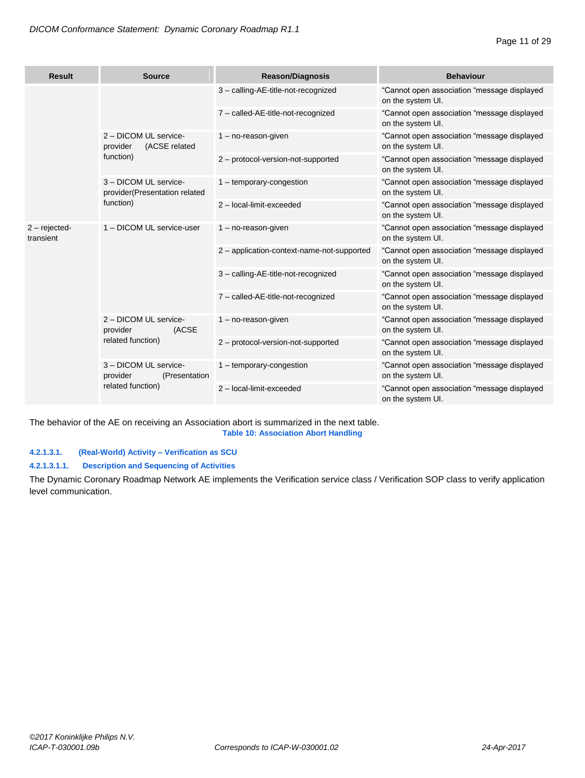| <b>Result</b>               | <b>Source</b>                                                            | <b>Reason/Diagnosis</b>                    | <b>Behaviour</b>                                                 |
|-----------------------------|--------------------------------------------------------------------------|--------------------------------------------|------------------------------------------------------------------|
|                             |                                                                          | 3 - calling-AE-title-not-recognized        | "Cannot open association "message displayed<br>on the system UI. |
|                             |                                                                          | 7 - called-AE-title-not-recognized         | "Cannot open association "message displayed<br>on the system UI. |
|                             | 2 - DICOM UL service-<br>(ACSE related<br>provider                       | $1 - no$ -reason-given                     | "Cannot open association "message displayed<br>on the system UI. |
|                             | function)                                                                | 2 - protocol-version-not-supported         | "Cannot open association "message displayed<br>on the system UI. |
|                             | 3 - DICOM UL service-<br>provider(Presentation related                   | 1 - temporary-congestion                   | "Cannot open association "message displayed<br>on the system UI. |
|                             | function)                                                                | 2 - local-limit-exceeded                   | "Cannot open association "message displayed<br>on the system UI. |
| $2 - rejected$<br>transient | 1 - DICOM UL service-user                                                | $1 - no$ -reason-given                     | "Cannot open association "message displayed<br>on the system UI. |
|                             |                                                                          | 2 - application-context-name-not-supported | "Cannot open association "message displayed<br>on the system UI. |
|                             |                                                                          | 3 - calling-AE-title-not-recognized        | "Cannot open association "message displayed<br>on the system UI. |
|                             |                                                                          | 7 - called-AE-title-not-recognized         | "Cannot open association "message displayed<br>on the system UI. |
|                             | 2 - DICOM UL service-<br>provider<br>(ACSE<br>related function)          | $1 - no$ -reason-given                     | "Cannot open association "message displayed<br>on the system UI. |
|                             |                                                                          | 2 - protocol-version-not-supported         | "Cannot open association "message displayed<br>on the system UI. |
|                             | 3 - DICOM UL service-<br>provider<br>(Presentation)<br>related function) | 1 - temporary-congestion                   | "Cannot open association "message displayed<br>on the system UI. |
|                             |                                                                          | 2 - local-limit-exceeded                   | "Cannot open association "message displayed<br>on the system UI. |

The behavior of the AE on receiving an Association abort is summarized in the next table. **Table 10: Association Abort Handling**

# <span id="page-10-0"></span>**4.2.1.3.1. (Real-World) Activity – Verification as SCU**

## **4.2.1.3.1.1. Description and Sequencing of Activities**

The Dynamic Coronary Roadmap Network AE implements the Verification service class / Verification SOP class to verify application level communication.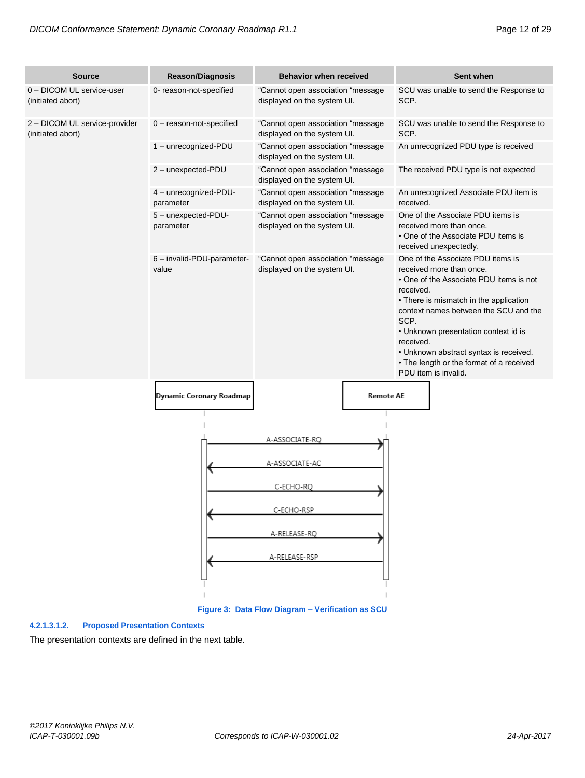| <b>Source</b>                                      | <b>Reason/Diagnosis</b>             | <b>Behavior when received</b>                                    | Sent when                                                                                                                                                                                                                                                                                                                                                                           |
|----------------------------------------------------|-------------------------------------|------------------------------------------------------------------|-------------------------------------------------------------------------------------------------------------------------------------------------------------------------------------------------------------------------------------------------------------------------------------------------------------------------------------------------------------------------------------|
| 0 - DICOM UL service-user<br>(initiated abort)     | 0- reason-not-specified             | "Cannot open association "message<br>displayed on the system UI. | SCU was unable to send the Response to<br>SCP.                                                                                                                                                                                                                                                                                                                                      |
| 2 - DICOM UL service-provider<br>(initiated abort) | 0 - reason-not-specified            | "Cannot open association "message<br>displayed on the system UI. | SCU was unable to send the Response to<br>SCP.                                                                                                                                                                                                                                                                                                                                      |
|                                                    | 1 - unrecognized-PDU                | "Cannot open association "message<br>displayed on the system UI. | An unrecognized PDU type is received                                                                                                                                                                                                                                                                                                                                                |
|                                                    | 2 - unexpected-PDU                  | "Cannot open association "message<br>displayed on the system UI. | The received PDU type is not expected                                                                                                                                                                                                                                                                                                                                               |
|                                                    | 4 - unrecognized-PDU-<br>parameter  | "Cannot open association "message<br>displayed on the system UI. | An unrecognized Associate PDU item is<br>received.                                                                                                                                                                                                                                                                                                                                  |
|                                                    | 5 - unexpected-PDU-<br>parameter    | "Cannot open association "message<br>displayed on the system UI. | One of the Associate PDU items is<br>received more than once.<br>• One of the Associate PDU items is<br>received unexpectedly.                                                                                                                                                                                                                                                      |
|                                                    | 6 - invalid-PDU-parameter-<br>value | "Cannot open association "message<br>displayed on the system UI. | One of the Associate PDU items is<br>received more than once.<br>• One of the Associate PDU items is not<br>received.<br>• There is mismatch in the application<br>context names between the SCU and the<br>SCP.<br>• Unknown presentation context id is<br>received.<br>• Unknown abstract syntax is received.<br>• The length or the format of a received<br>PDU item is invalid. |
|                                                    | Dynamic Coronary Roadmap            | <b>Remote AE</b>                                                 |                                                                                                                                                                                                                                                                                                                                                                                     |
|                                                    |                                     | A-ASSOCIATE-RQ                                                   |                                                                                                                                                                                                                                                                                                                                                                                     |
|                                                    |                                     | A-ASSOCIATE-AC                                                   |                                                                                                                                                                                                                                                                                                                                                                                     |
|                                                    |                                     | C-ECHO-RQ                                                        |                                                                                                                                                                                                                                                                                                                                                                                     |
|                                                    |                                     | C-ECHO-RSP                                                       |                                                                                                                                                                                                                                                                                                                                                                                     |
|                                                    |                                     | A-RELEASE-RQ                                                     |                                                                                                                                                                                                                                                                                                                                                                                     |
|                                                    |                                     | A-RELEASE-RSP                                                    |                                                                                                                                                                                                                                                                                                                                                                                     |
|                                                    |                                     |                                                                  |                                                                                                                                                                                                                                                                                                                                                                                     |

**Figure 3: Data Flow Diagram – Verification as SCU**

#### **4.2.1.3.1.2. Proposed Presentation Contexts**

The presentation contexts are defined in the next table.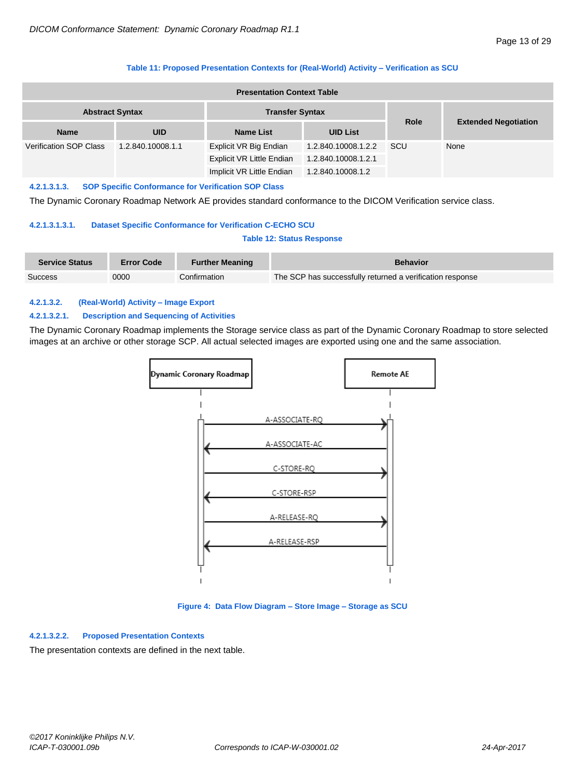#### **Table 11: Proposed Presentation Contexts for (Real-World) Activity – Verification as SCU**

| <b>Presentation Context Table</b>                  |            |                           |                     |             |                             |  |
|----------------------------------------------------|------------|---------------------------|---------------------|-------------|-----------------------------|--|
| <b>Abstract Syntax</b><br><b>Transfer Syntax</b>   |            |                           |                     |             |                             |  |
| <b>Name</b>                                        | <b>UID</b> | <b>Name List</b>          | <b>UID List</b>     | <b>Role</b> | <b>Extended Negotiation</b> |  |
| <b>Verification SOP Class</b><br>1.2.840.10008.1.1 |            | Explicit VR Big Endian    | 1.2.840.10008.1.2.2 | SCU         | None                        |  |
|                                                    |            | Explicit VR Little Endian | 1.2.840.10008.1.2.1 |             |                             |  |
|                                                    |            | Implicit VR Little Endian | 1.2.840.10008.1.2   |             |                             |  |

#### **4.2.1.3.1.3. SOP Specific Conformance for Verification SOP Class**

The Dynamic Coronary Roadmap Network AE provides standard conformance to the DICOM Verification service class.

#### **4.2.1.3.1.3.1. Dataset Specific Conformance for Verification C-ECHO SCU**

#### **Table 12: Status Response**

| <b>Service Status</b> | <b>Error Code</b> | <b>Further Meaning</b> | <b>Behavior</b>                                           |
|-----------------------|-------------------|------------------------|-----------------------------------------------------------|
| Success               | 0000              | Confirmation           | The SCP has successfully returned a verification response |

#### <span id="page-12-0"></span>**4.2.1.3.2. (Real-World) Activity – Image Export**

#### **4.2.1.3.2.1. Description and Sequencing of Activities**

The Dynamic Coronary Roadmap implements the Storage service class as part of the Dynamic Coronary Roadmap to store selected images at an archive or other storage SCP. All actual selected images are exported using one and the same association.



#### **Figure 4: Data Flow Diagram – Store Image – Storage as SCU**

#### **4.2.1.3.2.2. Proposed Presentation Contexts**

The presentation contexts are defined in the next table.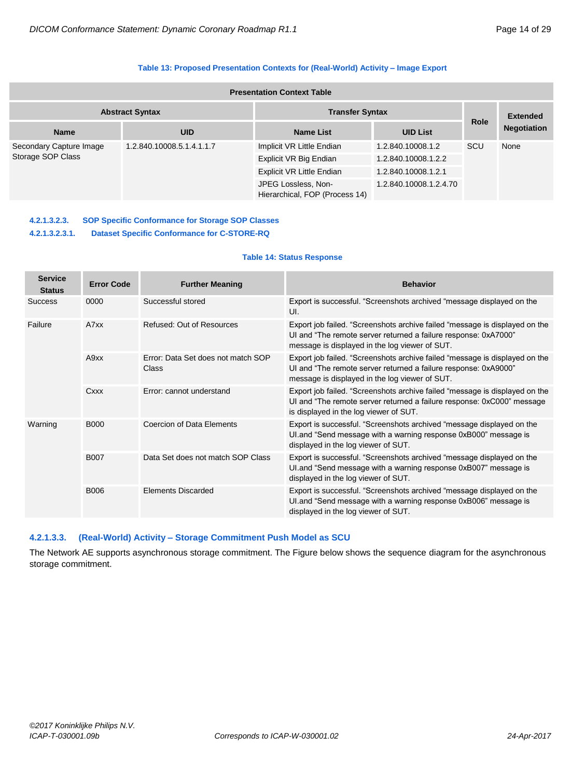#### **Table 13: Proposed Presentation Contexts for (Real-World) Activity – Image Export**

| <b>Presentation Context Table</b>            |                           |                                                       |                        |             |                    |
|----------------------------------------------|---------------------------|-------------------------------------------------------|------------------------|-------------|--------------------|
| <b>Abstract Syntax</b>                       |                           | <b>Transfer Syntax</b>                                |                        |             | <b>Extended</b>    |
| <b>Name</b>                                  | <b>UID</b>                | <b>Name List</b>                                      | <b>UID List</b>        | <b>Role</b> | <b>Negotiation</b> |
| Secondary Capture Image<br>Storage SOP Class | 1.2.840.10008.5.1.4.1.1.7 | Implicit VR Little Endian                             | 1.2.840.10008.1.2      | SCU         | None               |
|                                              |                           | Explicit VR Big Endian                                | 1.2.840.10008.1.2.2    |             |                    |
|                                              |                           | Explicit VR Little Endian                             | 1.2.840.10008.1.2.1    |             |                    |
|                                              |                           | JPEG Lossless, Non-<br>Hierarchical, FOP (Process 14) | 1.2.840.10008.1.2.4.70 |             |                    |

# **4.2.1.3.2.3. SOP Specific Conformance for Storage SOP Classes**

#### **4.2.1.3.2.3.1. Dataset Specific Conformance for C-STORE-RQ**

#### **Table 14: Status Response**

| <b>Service</b><br><b>Status</b> | <b>Error Code</b> | <b>Further Meaning</b>                      | <b>Behavior</b>                                                                                                                                                                                  |
|---------------------------------|-------------------|---------------------------------------------|--------------------------------------------------------------------------------------------------------------------------------------------------------------------------------------------------|
| <b>Success</b>                  | 0000              | Successful stored                           | Export is successful. "Screenshots archived "message displayed on the<br>UI.                                                                                                                     |
| Failure                         | A7xx              | Refused: Out of Resources                   | Export job failed. "Screenshots archive failed "message is displayed on the<br>UI and "The remote server returned a failure response: 0xA7000"<br>message is displayed in the log viewer of SUT. |
| A9xx                            |                   | Frror: Data Set does not match SOP<br>Class | Export job failed. "Screenshots archive failed "message is displayed on the<br>UI and "The remote server returned a failure response: 0xA9000"<br>message is displayed in the log viewer of SUT. |
|                                 | Cxxx              | Error: cannot understand                    | Export job failed. "Screenshots archive failed "message is displayed on the<br>UI and "The remote server returned a failure response: 0xC000" message<br>is displayed in the log viewer of SUT.  |
| Warning<br><b>B000</b>          |                   | Coercion of Data Flements                   | Export is successful. "Screenshots archived "message displayed on the<br>UI and "Send message with a warning response 0xB000" message is<br>displayed in the log viewer of SUT.                  |
|                                 | <b>B007</b>       | Data Set does not match SOP Class           | Export is successful. "Screenshots archived "message displayed on the<br>UI.and "Send message with a warning response 0xB007" message is<br>displayed in the log viewer of SUT.                  |
|                                 | B006              | <b>Flements Discarded</b>                   | Export is successful. "Screenshots archived "message displayed on the<br>UI.and "Send message with a warning response 0xB006" message is<br>displayed in the log viewer of SUT.                  |

#### <span id="page-13-0"></span>**4.2.1.3.3. (Real-World) Activity – Storage Commitment Push Model as SCU**

The Network AE supports asynchronous storage commitment. The Figure below shows the sequence diagram for the asynchronous storage commitment.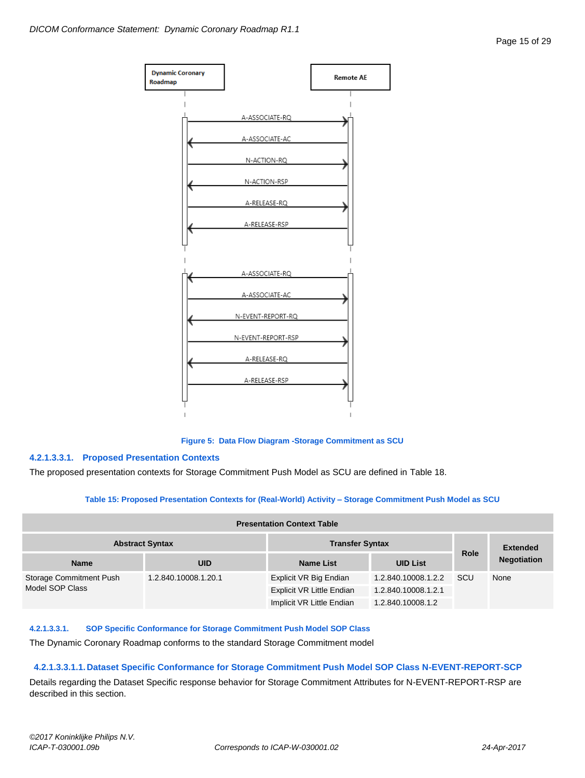

**Figure 5: Data Flow Diagram -Storage Commitment as SCU**

#### **4.2.1.3.3.1. Proposed Presentation Contexts**

The proposed presentation contexts for Storage Commitment Push Model as SCU are defined in Table 18.

#### **Table 15: Proposed Presentation Contexts for (Real-World) Activity – Storage Commitment Push Model as SCU**

| <b>Presentation Context Table</b> |                      |                           |                     |             |                    |
|-----------------------------------|----------------------|---------------------------|---------------------|-------------|--------------------|
| <b>Abstract Syntax</b>            |                      | <b>Transfer Syntax</b>    |                     |             | <b>Extended</b>    |
| <b>Name</b>                       | <b>UID</b>           | Name List                 | <b>UID List</b>     | <b>Role</b> | <b>Negotiation</b> |
| Storage Commitment Push           | 1.2.840.10008.1.20.1 | Explicit VR Big Endian    | 1.2.840.10008.1.2.2 | <b>SCU</b>  | None               |
| Model SOP Class                   |                      | Explicit VR Little Endian | 1.2.840.10008.1.2.1 |             |                    |
|                                   |                      | Implicit VR Little Endian | 1.2.840.10008.1.2   |             |                    |

#### **4.2.1.3.3.1. SOP Specific Conformance for Storage Commitment Push Model SOP Class**

The Dynamic Coronary Roadmap conforms to the standard Storage Commitment model

#### **4.2.1.3.3.1.1.Dataset Specific Conformance for Storage Commitment Push Model SOP Class N-EVENT-REPORT-SCP**

Details regarding the Dataset Specific response behavior for Storage Commitment Attributes for N-EVENT-REPORT-RSP are described in this section.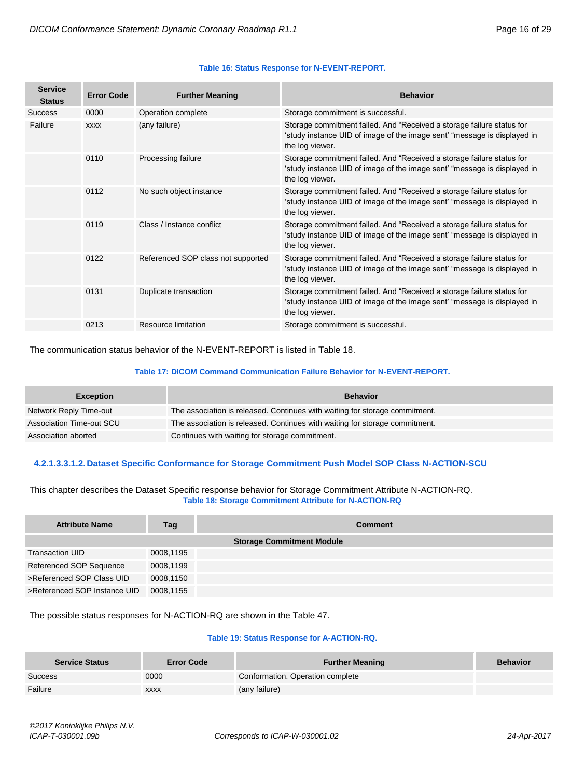#### **Table 16: Status Response for N-EVENT-REPORT.**

| <b>Service</b><br><b>Status</b> | <b>Error Code</b> | <b>Further Meaning</b>             | <b>Behavior</b>                                                                                                                                                      |
|---------------------------------|-------------------|------------------------------------|----------------------------------------------------------------------------------------------------------------------------------------------------------------------|
| <b>Success</b>                  | 0000              | Operation complete                 | Storage commitment is successful.                                                                                                                                    |
| Failure                         | <b>XXXX</b>       | (any failure)                      | Storage commitment failed. And "Received a storage failure status for<br>'study instance UID of image of the image sent' "message is displayed in<br>the log viewer. |
|                                 | 0110              | Processing failure                 | Storage commitment failed. And "Received a storage failure status for<br>'study instance UID of image of the image sent' "message is displayed in<br>the log viewer. |
|                                 | 0112              | No such object instance            | Storage commitment failed. And "Received a storage failure status for<br>'study instance UID of image of the image sent' "message is displayed in<br>the log viewer. |
|                                 | 0119              | Class / Instance conflict          | Storage commitment failed. And "Received a storage failure status for<br>'study instance UID of image of the image sent' "message is displayed in<br>the log viewer. |
|                                 | 0122              | Referenced SOP class not supported | Storage commitment failed. And "Received a storage failure status for<br>'study instance UID of image of the image sent' "message is displayed in<br>the log viewer. |
|                                 | 0131              | Duplicate transaction              | Storage commitment failed. And "Received a storage failure status for<br>'study instance UID of image of the image sent' "message is displayed in<br>the log viewer. |
|                                 | 0213              | Resource limitation                | Storage commitment is successful.                                                                                                                                    |

The communication status behavior of the N-EVENT-REPORT is listed in Table 18.

#### **Table 17: DICOM Command Communication Failure Behavior for N-EVENT-REPORT.**

| <b>Exception</b>         | <b>Behavior</b>                                                             |
|--------------------------|-----------------------------------------------------------------------------|
| Network Reply Time-out   | The association is released. Continues with waiting for storage commitment. |
| Association Time-out SCU | The association is released. Continues with waiting for storage commitment. |
| Association aborted      | Continues with waiting for storage commitment.                              |

#### **4.2.1.3.3.1.2.Dataset Specific Conformance for Storage Commitment Push Model SOP Class N-ACTION-SCU**

This chapter describes the Dataset Specific response behavior for Storage Commitment Attribute N-ACTION-RQ. **Table 18: Storage Commitment Attribute for N-ACTION-RQ**

| <b>Attribute Name</b>        | Tag       | <b>Comment</b>                   |
|------------------------------|-----------|----------------------------------|
|                              |           | <b>Storage Commitment Module</b> |
| <b>Transaction UID</b>       | 0008,1195 |                                  |
| Referenced SOP Sequence      | 0008,1199 |                                  |
| >Referenced SOP Class UID    | 0008.1150 |                                  |
| >Referenced SOP Instance UID | 0008,1155 |                                  |

The possible status responses for N-ACTION-RQ are shown in the Table 47.

#### **Table 19: Status Response for A-ACTION-RQ.**

| <b>Service Status</b> | <b>Error Code</b> | <b>Further Meaning</b>           | <b>Behavior</b> |
|-----------------------|-------------------|----------------------------------|-----------------|
| Success               | 0000              | Conformation. Operation complete |                 |
| Failure               | <b>XXXX</b>       | (any failure)                    |                 |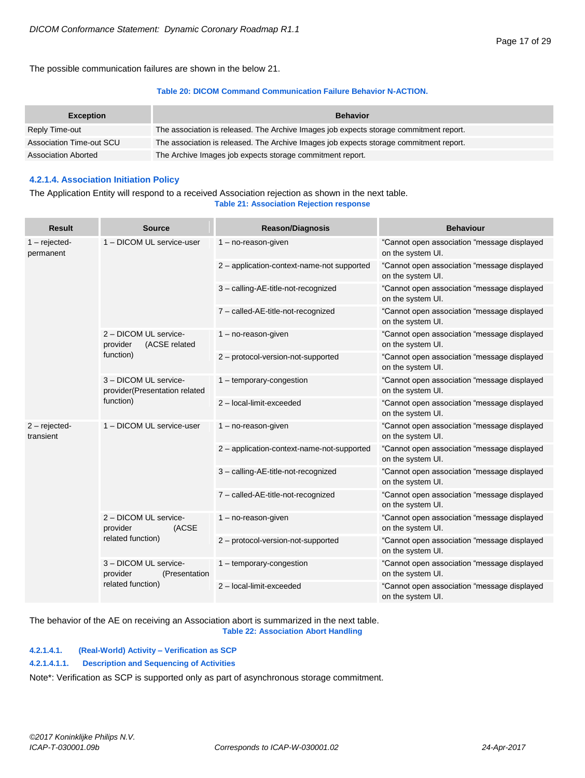The possible communication failures are shown in the below 21.

#### **Table 20: DICOM Command Communication Failure Behavior N-ACTION.**

| <b>Exception</b>           | <b>Behavior</b>                                                                        |
|----------------------------|----------------------------------------------------------------------------------------|
| Reply Time-out             | The association is released. The Archive Images job expects storage commitment report. |
| Association Time-out SCU   | The association is released. The Archive Images job expects storage commitment report. |
| <b>Association Aborted</b> | The Archive Images job expects storage commitment report.                              |

#### <span id="page-16-0"></span>**4.2.1.4. Association Initiation Policy**

#### The Application Entity will respond to a received Association rejection as shown in the next table. **Table 21: Association Rejection response**

| <b>Source</b>                                                       | <b>Reason/Diagnosis</b>                    | <b>Behaviour</b>                                                 |
|---------------------------------------------------------------------|--------------------------------------------|------------------------------------------------------------------|
| 1 - DICOM UL service-user                                           | $1 - no$ -reason-given                     | "Cannot open association "message displayed<br>on the system UI. |
|                                                                     | 2 - application-context-name-not supported | "Cannot open association "message displayed<br>on the system UI. |
|                                                                     | 3 - calling-AE-title-not-recognized        | "Cannot open association "message displayed<br>on the system UI. |
|                                                                     | 7 - called-AE-title-not-recognized         | "Cannot open association "message displayed<br>on the system UI. |
| 2 - DICOM UL service-<br>(ACSE related<br>provider                  | $1 - no$ -reason-given                     | "Cannot open association "message displayed<br>on the system UI. |
| function)                                                           | 2 - protocol-version-not-supported         | "Cannot open association "message displayed<br>on the system UI. |
| 3 - DICOM UL service-<br>provider(Presentation related<br>function) | 1 - temporary-congestion                   | "Cannot open association "message displayed<br>on the system UI. |
|                                                                     | 2 - local-limit-exceeded                   | "Cannot open association "message displayed<br>on the system UI. |
| 1 - DICOM UL service-user                                           | $1 - no$ -reason-given                     | "Cannot open association "message displayed<br>on the system UI. |
|                                                                     | 2 - application-context-name-not-supported | "Cannot open association "message displayed<br>on the system UI. |
|                                                                     | 3 - calling-AE-title-not-recognized        | "Cannot open association "message displayed<br>on the system UI. |
|                                                                     | 7 - called-AE-title-not-recognized         | "Cannot open association "message displayed<br>on the system UI. |
| 2 - DICOM UL service-<br>provider<br>(ACSE                          | $1 - no$ -reason-given                     | "Cannot open association "message displayed<br>on the system UI. |
| related function)                                                   | 2 - protocol-version-not-supported         | "Cannot open association "message displayed<br>on the system UI. |
| 3 - DICOM UL service-<br>provider<br>(Presentation)                 | 1 - temporary-congestion                   | "Cannot open association "message displayed<br>on the system UI. |
| related function)                                                   | 2 - local-limit-exceeded                   | "Cannot open association "message displayed<br>on the system UI. |
|                                                                     |                                            |                                                                  |

The behavior of the AE on receiving an Association abort is summarized in the next table. **Table 22: Association Abort Handling**

#### <span id="page-16-1"></span>**4.2.1.4.1. (Real-World) Activity – Verification as SCP**

#### **4.2.1.4.1.1. Description and Sequencing of Activities**

Note\*: Verification as SCP is supported only as part of asynchronous storage commitment.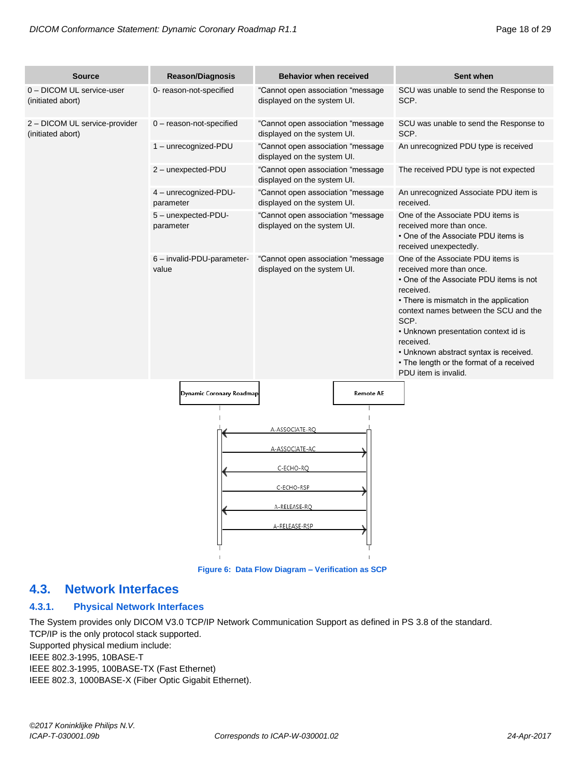| <b>Source</b>                                      | <b>Reason/Diagnosis</b>             | <b>Behavior when received</b>                                                                |                  | Sent when                                                                                                                                                                                                                                                                                                                                                                           |
|----------------------------------------------------|-------------------------------------|----------------------------------------------------------------------------------------------|------------------|-------------------------------------------------------------------------------------------------------------------------------------------------------------------------------------------------------------------------------------------------------------------------------------------------------------------------------------------------------------------------------------|
| 0 - DICOM UL service-user<br>(initiated abort)     | 0- reason-not-specified             | "Cannot open association "message<br>displayed on the system UI.                             |                  | SCU was unable to send the Response to<br>SCP.                                                                                                                                                                                                                                                                                                                                      |
| 2 - DICOM UL service-provider<br>(initiated abort) | $0$ – reason-not-specified          | "Cannot open association "message<br>displayed on the system UI.                             |                  | SCU was unable to send the Response to<br>SCP.                                                                                                                                                                                                                                                                                                                                      |
|                                                    | 1 - unrecognized-PDU                | "Cannot open association "message<br>displayed on the system UI.                             |                  | An unrecognized PDU type is received                                                                                                                                                                                                                                                                                                                                                |
|                                                    | 2 - unexpected-PDU                  | "Cannot open association "message<br>displayed on the system UI.                             |                  | The received PDU type is not expected                                                                                                                                                                                                                                                                                                                                               |
|                                                    | 4 - unrecognized-PDU-<br>parameter  | "Cannot open association "message<br>displayed on the system UI.                             |                  | An unrecognized Associate PDU item is<br>received.                                                                                                                                                                                                                                                                                                                                  |
|                                                    | 5 - unexpected-PDU-<br>parameter    | "Cannot open association "message<br>displayed on the system UI.                             |                  | One of the Associate PDU items is<br>received more than once.<br>• One of the Associate PDU items is<br>received unexpectedly.                                                                                                                                                                                                                                                      |
|                                                    | 6 - invalid-PDU-parameter-<br>value | "Cannot open association "message<br>displayed on the system UI.                             |                  | One of the Associate PDU items is<br>received more than once.<br>• One of the Associate PDU items is not<br>received.<br>• There is mismatch in the application<br>context names between the SCU and the<br>SCP.<br>• Unknown presentation context id is<br>received.<br>• Unknown abstract syntax is received.<br>• The length or the format of a received<br>PDU item is invalid. |
|                                                    | Dynamic Coronary Roadmap            |                                                                                              | <b>Remote AE</b> |                                                                                                                                                                                                                                                                                                                                                                                     |
|                                                    |                                     | A-ASSOCIATE-RQ<br>A-ASSOCIATE-AC<br>C-ECHO-RQ<br>C-ECHO-RSP<br>A-RELEASE-RQ<br>A-RELEASE-RSP |                  |                                                                                                                                                                                                                                                                                                                                                                                     |

**Figure 6: Data Flow Diagram – Verification as SCP**

# <span id="page-17-0"></span>**4.3. Network Interfaces**

### <span id="page-17-1"></span>**4.3.1. Physical Network Interfaces**

The System provides only DICOM V3.0 TCP/IP Network Communication Support as defined in PS 3.8 of the standard. TCP/IP is the only protocol stack supported. Supported physical medium include: IEEE 802.3-1995, 10BASE-T IEEE 802.3-1995, 100BASE-TX (Fast Ethernet)

IEEE 802.3, 1000BASE-X (Fiber Optic Gigabit Ethernet).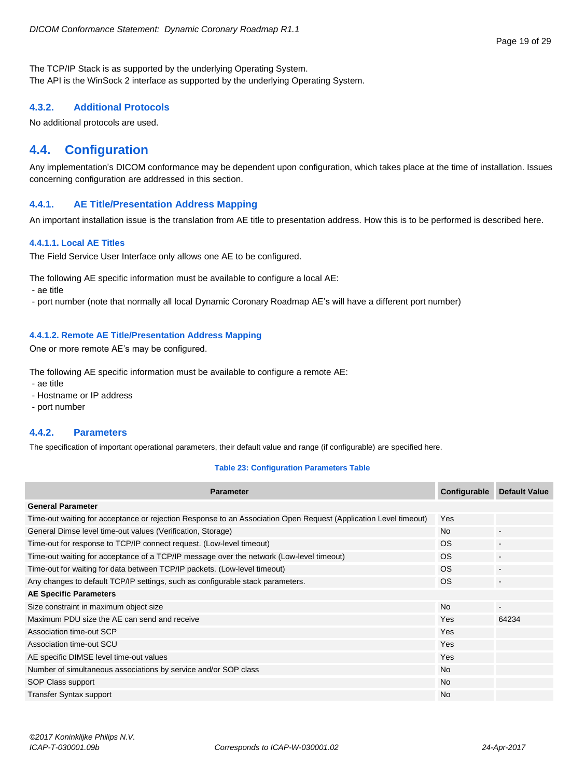The TCP/IP Stack is as supported by the underlying Operating System. The API is the WinSock 2 interface as supported by the underlying Operating System.

#### <span id="page-18-0"></span>**4.3.2. Additional Protocols**

No additional protocols are used.

# <span id="page-18-1"></span>**4.4. Configuration**

Any implementation's DICOM conformance may be dependent upon configuration, which takes place at the time of installation. Issues concerning configuration are addressed in this section.

#### <span id="page-18-2"></span>**4.4.1. AE Title/Presentation Address Mapping**

An important installation issue is the translation from AE title to presentation address. How this is to be performed is described here.

#### <span id="page-18-3"></span>**4.4.1.1. Local AE Titles**

The Field Service User Interface only allows one AE to be configured.

The following AE specific information must be available to configure a local AE:

- ae title

- port number (note that normally all local Dynamic Coronary Roadmap AE's will have a different port number)

#### <span id="page-18-4"></span>**4.4.1.2. Remote AE Title/Presentation Address Mapping**

One or more remote AE's may be configured.

The following AE specific information must be available to configure a remote AE:

- ae title

- Hostname or IP address
- port number

#### <span id="page-18-5"></span>**4.4.2. Parameters**

The specification of important operational parameters, their default value and range (if configurable) are specified here.

#### **Table 23: Configuration Parameters Table**

| <b>Parameter</b>                                                                                                 | Configurable | <b>Default Value</b> |
|------------------------------------------------------------------------------------------------------------------|--------------|----------------------|
| <b>General Parameter</b>                                                                                         |              |                      |
| Time-out waiting for acceptance or rejection Response to an Association Open Request (Application Level timeout) | Yes          |                      |
| General Dimse level time-out values (Verification, Storage)                                                      | <b>No</b>    |                      |
| Time-out for response to TCP/IP connect request. (Low-level timeout)                                             | OS.          |                      |
| Time-out waiting for acceptance of a TCP/IP message over the network (Low-level timeout)                         | OS.          |                      |
| Time-out for waiting for data between TCP/IP packets. (Low-level timeout)                                        | OS.          |                      |
| Any changes to default TCP/IP settings, such as configurable stack parameters.                                   | OS.          |                      |
| <b>AE Specific Parameters</b>                                                                                    |              |                      |
| Size constraint in maximum object size                                                                           | <b>No</b>    | $\blacksquare$       |
| Maximum PDU size the AE can send and receive                                                                     | Yes          | 64234                |
| Association time-out SCP                                                                                         | Yes          |                      |
| Association time-out SCU                                                                                         | Yes          |                      |
| AE specific DIMSE level time-out values                                                                          | Yes          |                      |
| Number of simultaneous associations by service and/or SOP class                                                  | <b>No</b>    |                      |
| SOP Class support                                                                                                | <b>No</b>    |                      |
| <b>Transfer Syntax support</b>                                                                                   | <b>No</b>    |                      |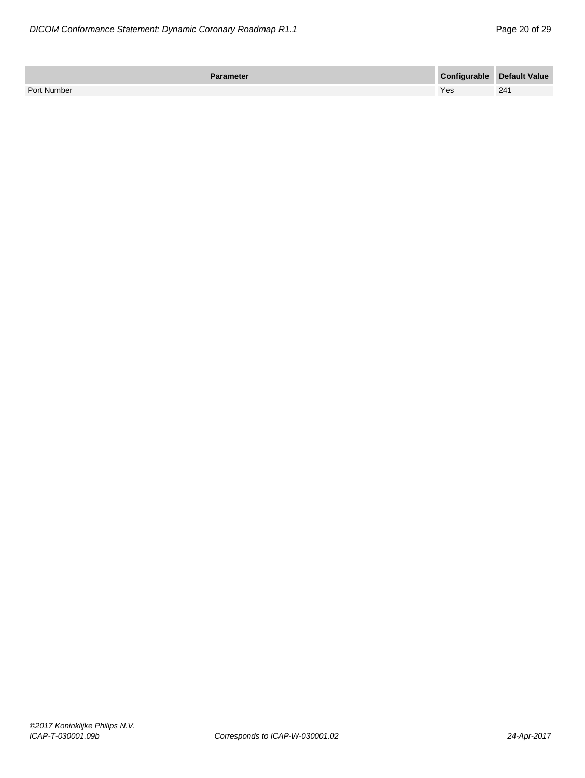| <b>Parameter</b> |     | Configurable Default Value |
|------------------|-----|----------------------------|
| Port Number      | Yes | 241                        |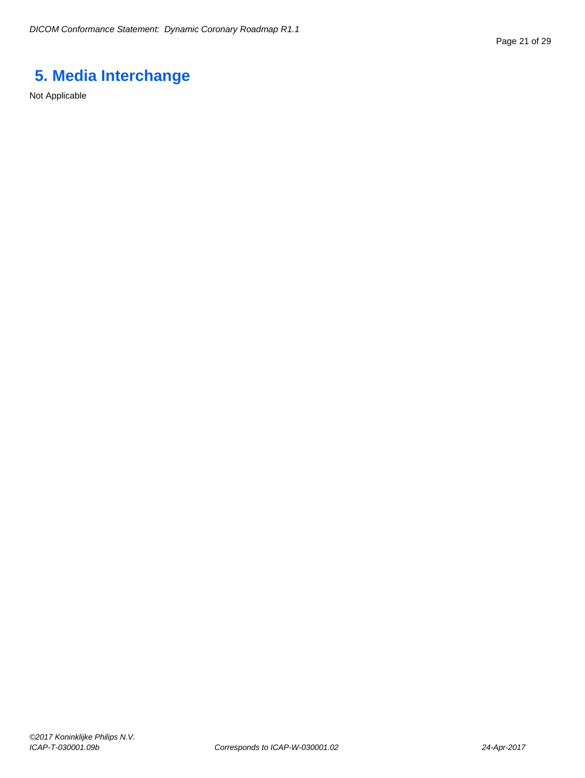# <span id="page-20-0"></span>**5. Media Interchange**

Not Applicable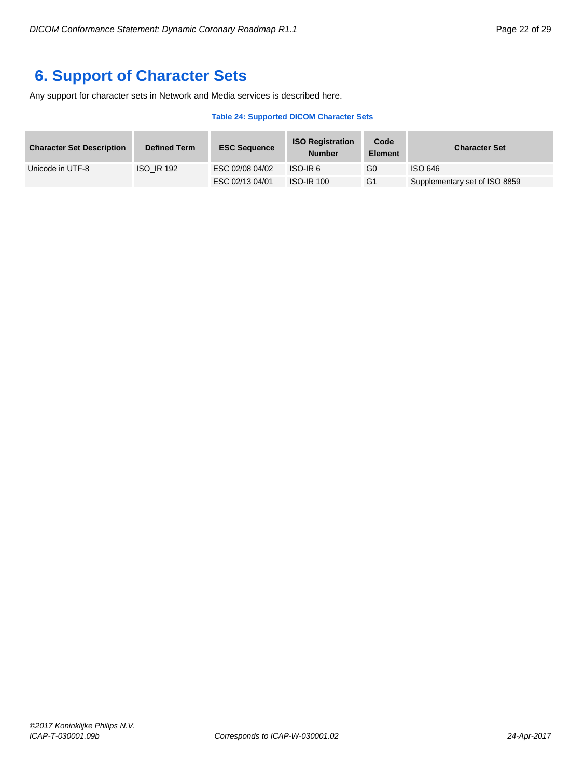# <span id="page-21-0"></span>**6. Support of Character Sets**

Any support for character sets in Network and Media services is described here.

#### **Table 24: Supported DICOM Character Sets**

| <b>Character Set Description</b> | <b>Defined Term</b> | <b>ESC Sequence</b> | <b>ISO Registration</b><br><b>Number</b> | Code<br><b>Element</b> | <b>Character Set</b>          |
|----------------------------------|---------------------|---------------------|------------------------------------------|------------------------|-------------------------------|
| Unicode in UTF-8                 | <b>ISO IR 192</b>   | ESC 02/08 04/02     | ISO-IR6                                  | G0                     | ISO 646                       |
|                                  |                     | ESC 02/13 04/01     | <b>ISO-IR 100</b>                        | G <sub>1</sub>         | Supplementary set of ISO 8859 |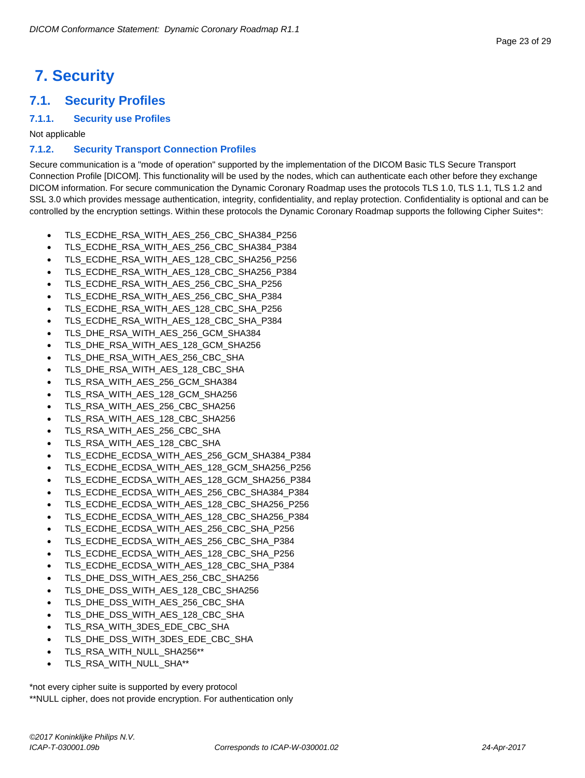#### Page 23 of 29

# <span id="page-22-0"></span>**7. Security**

# <span id="page-22-1"></span>**7.1. Security Profiles**

#### <span id="page-22-2"></span>**7.1.1. Security use Profiles**

Not applicable

### <span id="page-22-3"></span>**7.1.2. Security Transport Connection Profiles**

Secure communication is a "mode of operation" supported by the implementation of the DICOM Basic TLS Secure Transport Connection Profile [DICOM]. This functionality will be used by the nodes, which can authenticate each other before they exchange DICOM information. For secure communication the Dynamic Coronary Roadmap uses the protocols TLS 1.0, TLS 1.1, TLS 1.2 and SSL 3.0 which provides message authentication, integrity, confidentiality, and replay protection. Confidentiality is optional and can be controlled by the encryption settings. Within these protocols the Dynamic Coronary Roadmap supports the following Cipher Suites\*:

- TLS\_ECDHE\_RSA\_WITH\_AES\_256\_CBC\_SHA384\_P256
- TLS\_ECDHE\_RSA\_WITH\_AES\_256\_CBC\_SHA384\_P384
- TLS\_ECDHE\_RSA\_WITH\_AES\_128\_CBC\_SHA256\_P256
- TLS\_ECDHE\_RSA\_WITH\_AES\_128\_CBC\_SHA256\_P384
- TLS\_ECDHE\_RSA\_WITH\_AES\_256\_CBC\_SHA\_P256
- TLS\_ECDHE\_RSA\_WITH\_AES\_256\_CBC\_SHA\_P384
- TLS\_ECDHE\_RSA\_WITH\_AES\_128\_CBC\_SHA\_P256
- TLS\_ECDHE\_RSA\_WITH\_AES\_128\_CBC\_SHA\_P384
- TLS\_DHE\_RSA\_WITH\_AES\_256\_GCM\_SHA384
- TLS\_DHE\_RSA\_WITH\_AES\_128\_GCM\_SHA256
- TLS\_DHE\_RSA\_WITH\_AES\_256\_CBC\_SHA
- TLS\_DHE\_RSA\_WITH\_AES\_128\_CBC\_SHA
- TLS\_RSA\_WITH\_AES\_256\_GCM\_SHA384
- TLS\_RSA\_WITH\_AES\_128\_GCM\_SHA256
- 
- TLS\_RSA\_WITH\_AES\_256\_CBC\_SHA256
- TLS\_RSA\_WITH\_AES\_128\_CBC\_SHA256
- TLS\_RSA\_WITH\_AES\_256\_CBC\_SHA
- TLS\_RSA\_WITH\_AES\_128\_CBC\_SHA
- TLS\_ECDHE\_ECDSA\_WITH\_AES\_256\_GCM\_SHA384\_P384
- TLS\_ECDHE\_ECDSA\_WITH\_AES\_128\_GCM\_SHA256\_P256
- TLS\_ECDHE\_ECDSA\_WITH\_AES\_128\_GCM\_SHA256\_P384
- TLS\_ECDHE\_ECDSA\_WITH\_AES\_256\_CBC\_SHA384\_P384
- TLS\_ECDHE\_ECDSA\_WITH\_AES\_128\_CBC\_SHA256\_P256
- TLS\_ECDHE\_ECDSA\_WITH\_AES\_128\_CBC\_SHA256\_P384
- TLS\_ECDHE\_ECDSA\_WITH\_AES\_256\_CBC\_SHA\_P256
- TLS\_ECDHE\_ECDSA\_WITH\_AES\_256\_CBC\_SHA\_P384
- TLS\_ECDHE\_ECDSA\_WITH\_AES\_128\_CBC\_SHA\_P256
- TLS\_ECDHE\_ECDSA\_WITH\_AES\_128\_CBC\_SHA\_P384
- TLS\_DHE\_DSS\_WITH\_AES\_256\_CBC\_SHA256
- TLS\_DHE\_DSS\_WITH\_AES\_128\_CBC\_SHA256
- TLS\_DHE\_DSS\_WITH\_AES\_256\_CBC\_SHA
- TLS\_DHE\_DSS\_WITH\_AES\_128\_CBC\_SHA
- TLS\_RSA\_WITH\_3DES\_EDE\_CBC\_SHA
- TLS\_DHE\_DSS\_WITH\_3DES\_EDE\_CBC\_SHA
- TLS\_RSA\_WITH\_NULL\_SHA256\*\*
- TLS\_RSA\_WITH\_NULL\_SHA\*\*

\*not every cipher suite is supported by every protocol \*\*NULL cipher, does not provide encryption. For authentication only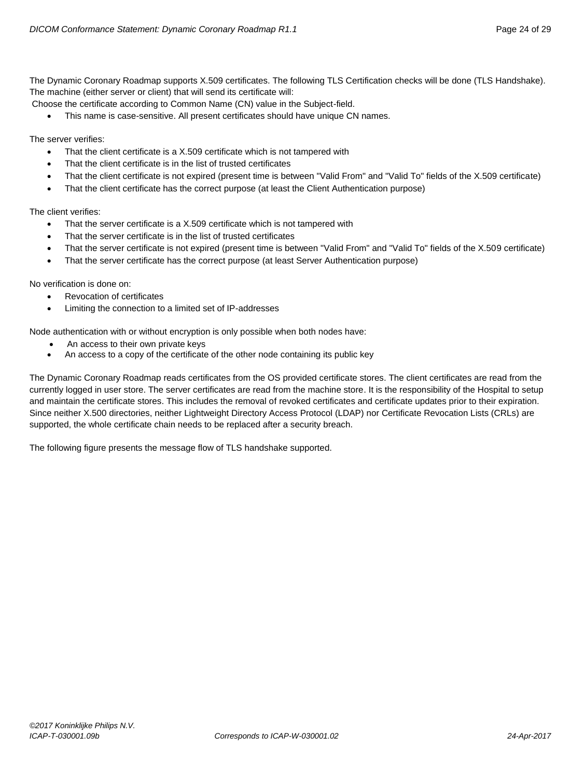Choose the certificate according to Common Name (CN) value in the Subject-field.

This name is case-sensitive. All present certificates should have unique CN names.

The server verifies:

- That the client certificate is a X.509 certificate which is not tampered with
- That the client certificate is in the list of trusted certificates
- That the client certificate is not expired (present time is between "Valid From" and "Valid To" fields of the X.509 certificate)
- That the client certificate has the correct purpose (at least the Client Authentication purpose)

The client verifies:

- That the server certificate is a X.509 certificate which is not tampered with
- That the server certificate is in the list of trusted certificates
- That the server certificate is not expired (present time is between "Valid From" and "Valid To" fields of the X.509 certificate)
- That the server certificate has the correct purpose (at least Server Authentication purpose)

No verification is done on:

- Revocation of certificates
- Limiting the connection to a limited set of IP-addresses

Node authentication with or without encryption is only possible when both nodes have:

- An access to their own private keys
- An access to a copy of the certificate of the other node containing its public key

The Dynamic Coronary Roadmap reads certificates from the OS provided certificate stores. The client certificates are read from the currently logged in user store. The server certificates are read from the machine store. It is the responsibility of the Hospital to setup and maintain the certificate stores. This includes the removal of revoked certificates and certificate updates prior to their expiration. Since neither X.500 directories, neither Lightweight Directory Access Protocol (LDAP) nor Certificate Revocation Lists (CRLs) are supported, the whole certificate chain needs to be replaced after a security breach.

The following figure presents the message flow of TLS handshake supported.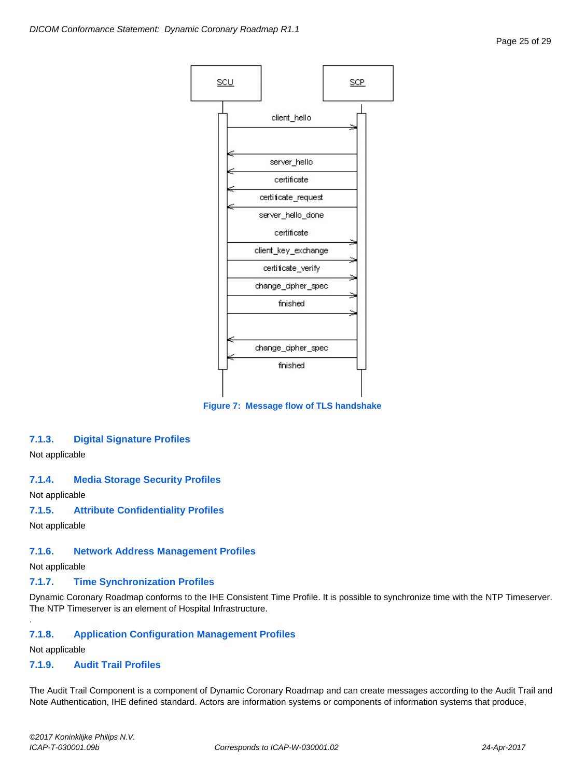

**Figure 7: Message flow of TLS handshake**

#### <span id="page-24-0"></span>**7.1.3. Digital Signature Profiles**

Not applicable

#### <span id="page-24-1"></span>**7.1.4. Media Storage Security Profiles**

Not applicable

#### <span id="page-24-2"></span>**7.1.5. Attribute Confidentiality Profiles**

Not applicable

## <span id="page-24-3"></span>**7.1.6. Network Address Management Profiles**

Not applicable

## <span id="page-24-4"></span>**7.1.7. Time Synchronization Profiles**

Dynamic Coronary Roadmap conforms to the IHE Consistent Time Profile. It is possible to synchronize time with the NTP Timeserver. The NTP Timeserver is an element of Hospital Infrastructure.

## <span id="page-24-5"></span>**7.1.8. Application Configuration Management Profiles**

Not applicable

.

## <span id="page-24-6"></span>**7.1.9. Audit Trail Profiles**

The Audit Trail Component is a component of Dynamic Coronary Roadmap and can create messages according to the Audit Trail and Note Authentication, IHE defined standard. Actors are information systems or components of information systems that produce,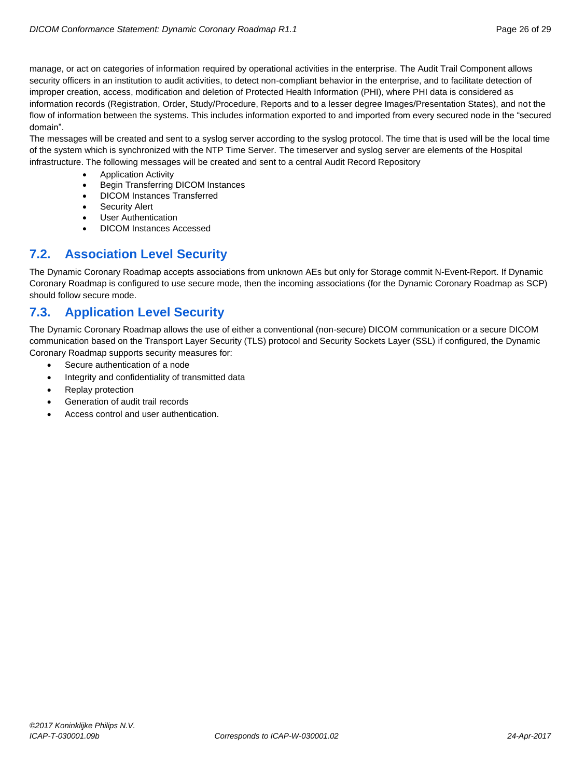manage, or act on categories of information required by operational activities in the enterprise. The Audit Trail Component allows security officers in an institution to audit activities, to detect non-compliant behavior in the enterprise, and to facilitate detection of improper creation, access, modification and deletion of Protected Health Information (PHI), where PHI data is considered as information records (Registration, Order, Study/Procedure, Reports and to a lesser degree Images/Presentation States), and not the flow of information between the systems. This includes information exported to and imported from every secured node in the "secured domain".

The messages will be created and sent to a syslog server according to the syslog protocol. The time that is used will be the local time of the system which is synchronized with the NTP Time Server. The timeserver and syslog server are elements of the Hospital infrastructure. The following messages will be created and sent to a central Audit Record Repository

- Application Activity
- Begin Transferring DICOM Instances
- DICOM Instances Transferred
- Security Alert
- User Authentication
- DICOM Instances Accessed

# <span id="page-25-0"></span>**7.2. Association Level Security**

The Dynamic Coronary Roadmap accepts associations from unknown AEs but only for Storage commit N-Event-Report. If Dynamic Coronary Roadmap is configured to use secure mode, then the incoming associations (for the Dynamic Coronary Roadmap as SCP) should follow secure mode.

# <span id="page-25-1"></span>**7.3. Application Level Security**

The Dynamic Coronary Roadmap allows the use of either a conventional (non-secure) DICOM communication or a secure DICOM communication based on the Transport Layer Security (TLS) protocol and Security Sockets Layer (SSL) if configured, the Dynamic Coronary Roadmap supports security measures for:

- Secure authentication of a node
- Integrity and confidentiality of transmitted data
- Replay protection
- Generation of audit trail records
- Access control and user authentication.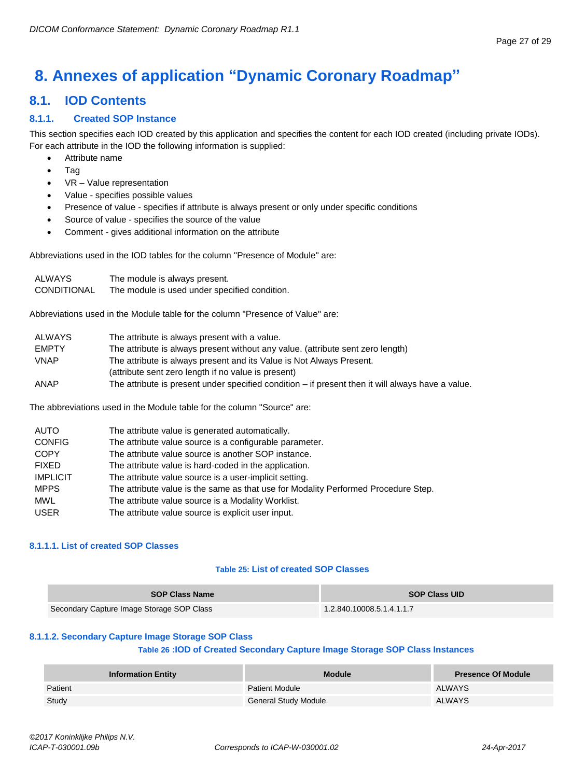# <span id="page-26-0"></span>**8. Annexes of application "Dynamic Coronary Roadmap"**

# <span id="page-26-1"></span>**8.1. IOD Contents**

### <span id="page-26-2"></span>**8.1.1. Created SOP Instance**

This section specifies each IOD created by this application and specifies the content for each IOD created (including private IODs). For each attribute in the IOD the following information is supplied:

- Attribute name
- Tag
- VR Value representation
- Value specifies possible values
- Presence of value specifies if attribute is always present or only under specific conditions
- Source of value specifies the source of the value
- Comment gives additional information on the attribute

Abbreviations used in the IOD tables for the column "Presence of Module" are:

| ALWAYS      | The module is always present.                 |
|-------------|-----------------------------------------------|
| CONDITIONAL | The module is used under specified condition. |

Abbreviations used in the Module table for the column "Presence of Value" are:

| ALWAYS       | The attribute is always present with a value.                                                       |
|--------------|-----------------------------------------------------------------------------------------------------|
| <b>EMPTY</b> | The attribute is always present without any value. (attribute sent zero length)                     |
| <b>VNAP</b>  | The attribute is always present and its Value is Not Always Present.                                |
|              | (attribute sent zero length if no value is present)                                                 |
| ANAP         | The attribute is present under specified condition $-$ if present then it will always have a value. |

The abbreviations used in the Module table for the column "Source" are:

| AUTO            | The attribute value is generated automatically.                                    |
|-----------------|------------------------------------------------------------------------------------|
| <b>CONFIG</b>   | The attribute value source is a configurable parameter.                            |
| <b>COPY</b>     | The attribute value source is another SOP instance.                                |
| <b>FIXED</b>    | The attribute value is hard-coded in the application.                              |
| <b>IMPLICIT</b> | The attribute value source is a user-implicit setting.                             |
| <b>MPPS</b>     | The attribute value is the same as that use for Modality Performed Procedure Step. |
| <b>MWL</b>      | The attribute value source is a Modality Worklist.                                 |
| <b>USER</b>     | The attribute value source is explicit user input.                                 |

#### <span id="page-26-3"></span>**8.1.1.1. List of created SOP Classes**

#### **Table 25: List of created SOP Classes**

| <b>SOP Class Name</b>                     | <b>SOP Class UID</b>      |
|-------------------------------------------|---------------------------|
| Secondary Capture Image Storage SOP Class | 1.2.840.10008.5.1.4.1.1.7 |

#### <span id="page-26-4"></span>**8.1.1.2. Secondary Capture Image Storage SOP Class**

#### **Table 26 :IOD of Created Secondary Capture Image Storage SOP Class Instances**

| <b>Information Entity</b> | <b>Module</b>               | <b>Presence Of Module</b> |
|---------------------------|-----------------------------|---------------------------|
| Patient                   | <b>Patient Module</b>       | ALWAYS                    |
| Study                     | <b>General Study Module</b> | <b>ALWAYS</b>             |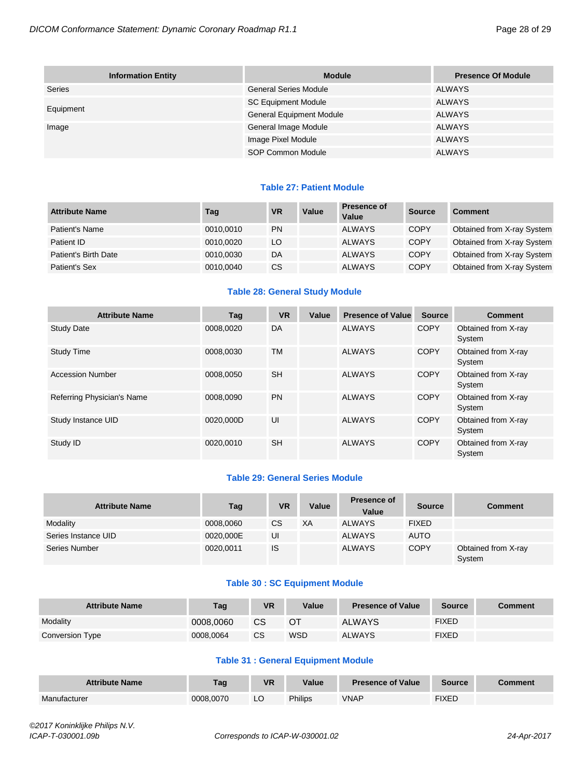| <b>Information Entity</b> | <b>Module</b>                   | <b>Presence Of Module</b> |
|---------------------------|---------------------------------|---------------------------|
| Series                    | <b>General Series Module</b>    | ALWAYS                    |
|                           | <b>SC Equipment Module</b>      | ALWAYS                    |
| Equipment                 | <b>General Equipment Module</b> | ALWAYS                    |
| Image                     | General Image Module            | ALWAYS                    |
|                           | Image Pixel Module              | <b>ALWAYS</b>             |
|                           | SOP Common Module               | <b>ALWAYS</b>             |

#### **Table 27: Patient Module**

| <b>Attribute Name</b> | Tag       | <b>VR</b> | Value | Presence of<br>Value | Source      | <b>Comment</b>             |
|-----------------------|-----------|-----------|-------|----------------------|-------------|----------------------------|
| Patient's Name        | 0010,0010 | <b>PN</b> |       | <b>ALWAYS</b>        | <b>COPY</b> | Obtained from X-ray System |
| Patient ID            | 0010,0020 | LO        |       | <b>ALWAYS</b>        | <b>COPY</b> | Obtained from X-ray System |
| Patient's Birth Date  | 0010,0030 | DA        |       | <b>ALWAYS</b>        | COPY        | Obtained from X-ray System |
| Patient's Sex         | 0010,0040 | CS.       |       | <b>ALWAYS</b>        | COPY        | Obtained from X-ray System |

#### **Table 28: General Study Module**

| <b>Attribute Name</b>      | Tag       | <b>VR</b> | Value | <b>Presence of Value</b> | <b>Source</b> | <b>Comment</b>                |
|----------------------------|-----------|-----------|-------|--------------------------|---------------|-------------------------------|
| <b>Study Date</b>          | 0008.0020 | DA        |       | <b>ALWAYS</b>            | <b>COPY</b>   | Obtained from X-ray<br>System |
| <b>Study Time</b>          | 0008,0030 | <b>TM</b> |       | <b>ALWAYS</b>            | <b>COPY</b>   | Obtained from X-ray<br>System |
| <b>Accession Number</b>    | 0008,0050 | <b>SH</b> |       | <b>ALWAYS</b>            | <b>COPY</b>   | Obtained from X-ray<br>System |
| Referring Physician's Name | 0008.0090 | <b>PN</b> |       | <b>ALWAYS</b>            | COPY          | Obtained from X-ray<br>System |
| Study Instance UID         | 0020.000D | UI        |       | <b>ALWAYS</b>            | <b>COPY</b>   | Obtained from X-ray<br>System |
| Study ID                   | 0020,0010 | <b>SH</b> |       | <b>ALWAYS</b>            | <b>COPY</b>   | Obtained from X-ray<br>System |

#### **Table 29: General Series Module**

| <b>Attribute Name</b> | Tag       | <b>VR</b> | Value | <b>Presence of</b><br>Value | <b>Source</b> | <b>Comment</b>                |
|-----------------------|-----------|-----------|-------|-----------------------------|---------------|-------------------------------|
| Modality              | 0008,0060 | CS        | XA    | <b>ALWAYS</b>               | <b>FIXED</b>  |                               |
| Series Instance UID   | 0020,000E | UI        |       | <b>ALWAYS</b>               | <b>AUTO</b>   |                               |
| Series Number         | 0020,0011 | <b>IS</b> |       | <b>ALWAYS</b>               | <b>COPY</b>   | Obtained from X-ray<br>System |

#### **Table 30 : SC Equipment Module**

| <b>Attribute Name</b> | Tag       | VR        | Value | <b>Presence of Value</b> | <b>Source</b> | <b>Comment</b> |
|-----------------------|-----------|-----------|-------|--------------------------|---------------|----------------|
| Modality              | 0008.0060 | СS        |       | <b>ALWAYS</b>            | <b>FIXED</b>  |                |
| Conversion Type       | 0008.0064 | <b>CS</b> | WSD   | <b>ALWAYS</b>            | <b>FIXED</b>  |                |

### **Table 31 : General Equipment Module**

| <b>Attribute Name</b> | Tag       | <b>VR</b> | Value   | <b>Presence of Value</b> | <b>Source</b> | ∶omment |
|-----------------------|-----------|-----------|---------|--------------------------|---------------|---------|
| Manufacturer          | 0008.0070 | ᅛ         | Philips | VNAP                     | <b>FIXED</b>  |         |